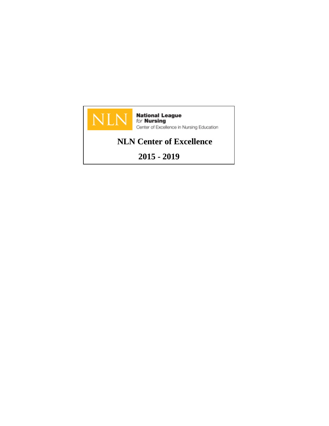

**National League**<br>for **Nursing**<br>Center of Excellence in Nursing Education

# **NLN Center of Excellence**

**2015 - 2019**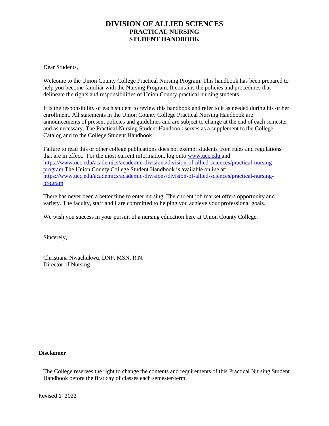Dear Students,

Welcome to the Union County College Practical Nursing Program. This handbook has been prepared to help you become familiar with the Nursing Program. It contains the policies and procedures that delineate the rights and responsibilities of Union County practical nursing students.

It is the responsibility of each student to review this handbook and refer to it as needed during his or her enrollment. All statements in the Union County College Practical Nursing Handbook are announcements of present policies and guidelines and are subject to change at the end of each semester and as necessary. The Practical Nursing Student Handbook serves as a supplement to the College Catalog and to the College Student Handbook.

Failure to read this or other college publications does not exempt students from rules and regulations that are in effect. For the most current information, log onto [www.ucc.edu a](http://www.ucc.edu/)nd [https://www.ucc.edu/academics/academic-divisions/division-of-allied-sciences/practical-nursing](https://www.ucc.edu/academics/academic-divisions/division-of-allied-sciences/practical-nursing-program)[program](https://www.ucc.edu/academics/academic-divisions/division-of-allied-sciences/practical-nursing-program) The Union County College Student Handbook is available online at: [https://www.ucc.edu/academics/academic-divisions/division-of-allied-sciences/practical-nursing](https://www.ucc.edu/academics/academic-divisions/division-of-allied-sciences/practical-nursing-program)[program](https://www.ucc.edu/academics/academic-divisions/division-of-allied-sciences/practical-nursing-program)

There has never been a better time to enter nursing. The current job market offers opportunity and variety. The faculty, staff and I are committed to helping you achieve your professional goals.

We wish you success in your pursuit of a nursing education here at Union County College.

Sincerely,

Christiana Nwachukwu, DNP, MSN, R.N. Director of Nursing

#### **Disclaimer**

The College reserves the right to change the contents and requirements of this Practical Nursing Student Handbook before the first day of classes each semester/term.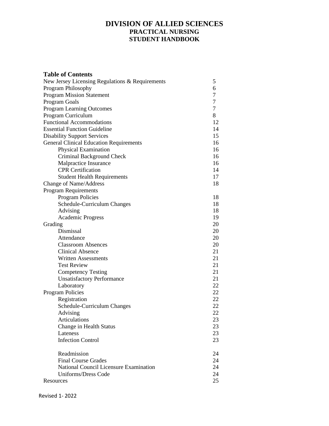| <b>Table of Contents</b>                        |    |
|-------------------------------------------------|----|
| New Jersey Licensing Regulations & Requirements | 5  |
| Program Philosophy                              | 6  |
| <b>Program Mission Statement</b>                | 7  |
| Program Goals                                   | 7  |
| Program Learning Outcomes                       | 7  |
| Program Curriculum                              | 8  |
| <b>Functional Accommodations</b>                | 12 |
| <b>Essential Function Guideline</b>             | 14 |
| <b>Disability Support Services</b>              | 15 |
| <b>General Clinical Education Requirements</b>  | 16 |
| Physical Examination                            | 16 |
| Criminal Background Check                       | 16 |
| Malpractice Insurance                           | 16 |
| <b>CPR</b> Certification                        | 14 |
| <b>Student Health Requirements</b>              | 17 |
| <b>Change of Name/Address</b>                   | 18 |
| <b>Program Requirements</b>                     |    |
| <b>Program Policies</b>                         | 18 |
| Schedule-Curriculum Changes                     | 18 |
| Advising                                        | 18 |
| <b>Academic Progress</b>                        | 19 |
| Grading                                         | 20 |
| Dismissal                                       | 20 |
| Attendance                                      | 20 |
| <b>Classroom Absences</b>                       | 20 |
| <b>Clinical Absence</b>                         | 21 |
| <b>Written Assessments</b>                      | 21 |
| <b>Test Review</b>                              | 21 |
| <b>Competency Testing</b>                       | 21 |
| <b>Unsatisfactory Performance</b>               | 21 |
| Laboratory                                      | 22 |
| <b>Program Policies</b>                         | 22 |
| Registration                                    | 22 |
| Schedule-Curriculum Changes                     | 22 |
| Advising                                        | 22 |
| Articulations                                   | 23 |
| Change in Health Status                         | 23 |
| Lateness                                        | 23 |
| <b>Infection Control</b>                        | 23 |
|                                                 |    |
| Readmission                                     | 24 |
| <b>Final Course Grades</b>                      | 24 |
| National Council Licensure Examination          | 24 |
| <b>Uniforms/Dress Code</b>                      | 24 |
| Resources                                       | 25 |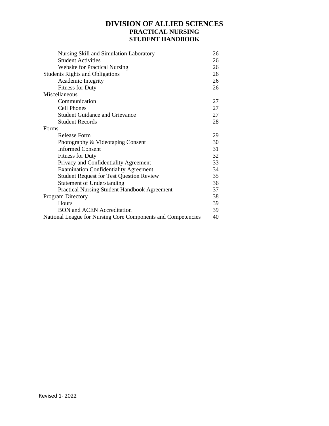| Nursing Skill and Simulation Laboratory                      | 26 |
|--------------------------------------------------------------|----|
| <b>Student Activities</b>                                    | 26 |
| <b>Website for Practical Nursing</b>                         | 26 |
| <b>Students Rights and Obligations</b>                       | 26 |
| Academic Integrity                                           | 26 |
| <b>Fitness for Duty</b>                                      | 26 |
| Miscellaneous                                                |    |
| Communication                                                | 27 |
| <b>Cell Phones</b>                                           | 27 |
| <b>Student Guidance and Grievance</b>                        | 27 |
| <b>Student Records</b>                                       | 28 |
| Forms                                                        |    |
| Release Form                                                 | 29 |
| Photography & Videotaping Consent                            | 30 |
| <b>Informed Consent</b>                                      | 31 |
| <b>Fitness for Duty</b>                                      | 32 |
| Privacy and Confidentiality Agreement                        | 33 |
| <b>Examination Confidentiality Agreement</b>                 | 34 |
| <b>Student Request for Test Question Review</b>              | 35 |
| <b>Statement of Understanding</b>                            | 36 |
| <b>Practical Nursing Student Handbook Agreement</b>          | 37 |
| <b>Program Directory</b>                                     | 38 |
| Hours                                                        | 39 |
| <b>BON</b> and <b>ACEN</b> Accreditation                     | 39 |
| National League for Nursing Core Components and Competencies | 40 |
|                                                              |    |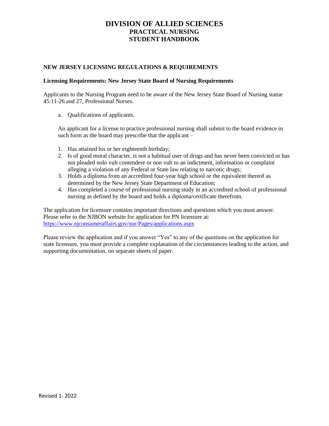#### **NEW JERSEY LICENSING REGULATIONS & REQUIREMENTS**

#### **Licensing Requirements: New Jersey State Board of Nursing Requirements**

Applicants to the Nursing Program need to be aware of the New Jersey State Board of Nursing statue 45:11-26 and 27, Professional Nurses.

a. Qualifications of applicants.

An applicant for a license to practice professional nursing shall submit to the board evidence in such form as the board may prescribe that the applicant –

- 1. Has attained his or her eighteenth birthday;
- 2. Is of good moral character, is not a habitual user of drugs and has never been convicted or has not pleaded nolo vult contendere or non vult to an indictment, information or complaint alleging a violation of any Federal or State law relating to narcotic drugs;
- 3. Holds a diploma from an accredited four-year high school or the equivalent thereof as determined by the New Jersey State Department of Education;
- 4. Has completed a course of professional nursing study in an accredited school of professional nursing as defined by the board and holds a diploma/certificate therefrom.

The application for licensure contains important directions and questions which you must answer. Please refer to the NJBON website for application for PN licensure at: <https://www.njconsumeraffairs.gov/nur/Pages/applications.aspx>

Please review the application and if you answer "Yes" to any of the questions on the application for state licensure, you must provide a complete explanation of the circumstances leading to the action, and supporting documentation, on separate sheets of paper.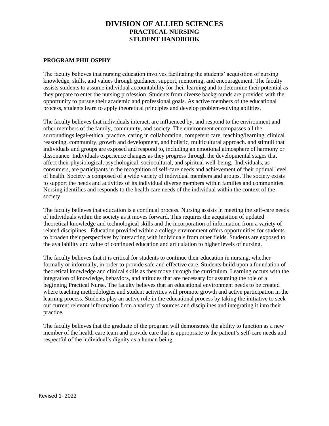### **PROGRAM PHILOSPHY**

The faculty believes that nursing education involves facilitating the students' acquisition of nursing knowledge, skills, and values through guidance, support, mentoring, and encouragement. The faculty assists students to assume individual accountability for their learning and to determine their potential as they prepare to enter the nursing profession. Students from diverse backgrounds are provided with the opportunity to pursue their academic and professional goals. As active members of the educational process, students learn to apply theoretical principles and develop problem-solving abilities.

The faculty believes that individuals interact, are influenced by, and respond to the environment and other members of the family, community, and society. The environment encompasses all the surroundings legal-ethical practice, caring in collaboration, competent care, teaching/learning, clinical reasoning, community, growth and development, and holistic, multicultural approach. and stimuli that individuals and groups are exposed and respond to, including an emotional atmosphere of harmony or dissonance. Individuals experience changes as they progress through the developmental stages that affect their physiological, psychological, sociocultural, and spiritual well-being. Individuals, as consumers, are participants in the recognition of self-care needs and achievement of their optimal level of health. Society is composed of a wide variety of individual members and groups. The society exists to support the needs and activities of its individual diverse members within families and communities. Nursing identifies and responds to the health care needs of the individual within the context of the society.

The faculty believes that education is a continual process. Nursing assists in meeting the self-care needs of individuals within the society as it moves forward. This requires the acquisition of updated theoretical knowledge and technological skills and the incorporation of information from a variety of related disciplines. Education provided within a college environment offers opportunities for students to broaden their perspectives by interacting with individuals from other fields. Students are exposed to the availability and value of continued education and articulation to higher levels of nursing.

The faculty believes that it is critical for students to continue their education in nursing, whether formally or informally, in order to provide safe and effective care. Students build upon a foundation of theoretical knowledge and clinical skills as they move through the curriculum. Learning occurs with the integration of knowledge, behaviors, and attitudes that are necessary for assuming the role of a beginning Practical Nurse. The faculty believes that an educational environment needs to be created where teaching methodologies and student activities will promote growth and active participation in the learning process. Students play an active role in the educational process by taking the initiative to seek out current relevant information from a variety of sources and disciplines and integrating it into their practice.

The faculty believes that the graduate of the program will demonstrate the ability to function as a new member of the health care team and provide care that is appropriate to the patient's self-care needs and respectful of the individual's dignity as a human being.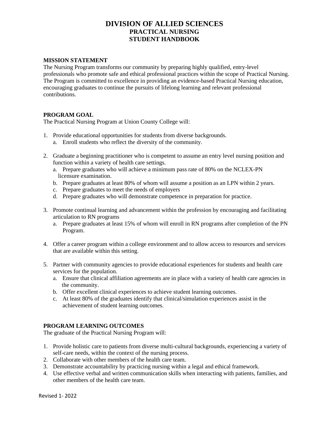### **MISSION STATEMENT**

The Nursing Program transforms our community by preparing highly qualified, entry-level professionals who promote safe and ethical professional practices within the scope of Practical Nursing. The Program is committed to excellence in providing an evidence-based Practical Nursing education, encouraging graduates to continue the pursuits of lifelong learning and relevant professional contributions.

### **PROGRAM GOAL**

The Practical Nursing Program at Union County College will:

- 1. Provide educational opportunities for students from diverse backgrounds.
	- a. Enroll students who reflect the diversity of the community.
- 2. Graduate a beginning practitioner who is competent to assume an entry level nursing position and function within a variety of health care settings.
	- a. Prepare graduates who will achieve a minimum pass rate of 80% on the NCLEX-PN licensure examination.
	- b. Prepare graduates at least 80% of whom will assume a position as an LPN within 2 years.
	- c. Prepare graduates to meet the needs of employers
	- d. Prepare graduates who will demonstrate competence in preparation for practice.
- 3. Promote continual learning and advancement within the profession by encouraging and facilitating articulation to RN programs
	- a. Prepare graduates at least 15% of whom will enroll in RN programs after completion of the PN Program.
- 4. Offer a career program within a college environment and to allow access to resources and services that are available within this setting.
- 5. Partner with community agencies to provide educational experiences for students and health care services for the population.
	- a. Ensure that clinical affiliation agreements are in place with a variety of health care agencies in the community.
	- b. Offer excellent clinical experiences to achieve student learning outcomes.
	- c. At least 80% of the graduates identify that clinical/simulation experiences assist in the achievement of student learning outcomes.

## **PROGRAM LEARNING OUTCOMES**

The graduate of the Practical Nursing Program will:

- 1. Provide holistic care to patients from diverse multi-cultural backgrounds, experiencing a variety of self-care needs, within the context of the nursing process.
- 2. Collaborate with other members of the health care team.
- 3. Demonstrate accountability by practicing nursing within a legal and ethical framework.
- 4. Use effective verbal and written communication skills when interacting with patients, families, and other members of the health care team.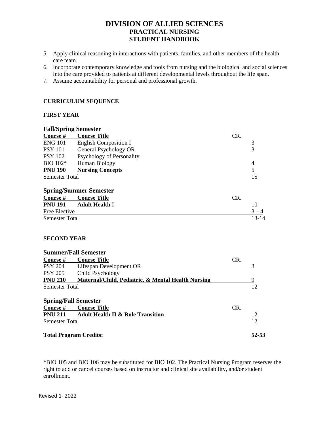- 5. Apply clinical reasoning in interactions with patients, families, and other members of the health care team.
- 6. Incorporate contemporary knowledge and tools from nursing and the biological and social sciences into the care provided to patients at different developmental levels throughout the life span.
- 7. Assume accountability for personal and professional growth.

#### **CURRICULUM SEQUENCE**

### **FIRST YEAR**

| <b>Fall/Spring Semester</b> |                                                               |     |                |
|-----------------------------|---------------------------------------------------------------|-----|----------------|
| Course #                    | <b>Course Title</b>                                           | CR. |                |
| <b>ENG 101</b>              | <b>English Composition I</b>                                  |     | $\frac{3}{3}$  |
| <b>PSY 101</b>              | General Psychology OR                                         |     |                |
| <b>PSY 102</b>              | Psychology of Personality                                     |     |                |
| BIO 102*                    | Human Biology                                                 |     | 4              |
| <b>PNU 190</b>              | <b>Nursing Concepts</b>                                       |     | $\overline{5}$ |
| <b>Semester Total</b>       |                                                               |     | 15             |
|                             | <b>Spring/Summer Semester</b>                                 |     |                |
| Course #                    | <b>Course Title</b>                                           | CR. |                |
| <b>PNU 191</b>              | <b>Adult Health I</b>                                         |     | 10             |
| Free Elective               |                                                               |     | $3 - 4$        |
| <b>Semester Total</b>       |                                                               |     | $13 - 14$      |
| <b>SECOND YEAR</b>          |                                                               |     |                |
|                             | <b>Summer/Fall Semester</b>                                   |     |                |
| Course $#$                  | <b>Course Title</b>                                           | CR. |                |
| <b>PSY 204</b>              | Lifespan Development OR                                       |     | 3              |
| <b>PSY 205</b>              | Child Psychology                                              |     |                |
| <b>PNU 210</b>              | <b>Maternal/Child, Pediatric, &amp; Mental Health Nursing</b> |     | 9              |
| <b>Semester Total</b>       |                                                               |     | 12             |
| <b>Spring/Fall Semester</b> |                                                               |     |                |
| <b>Course</b> #             | <b>Course Title</b>                                           | CR. |                |
| <b>PNU 211</b>              | <b>Adult Health II &amp; Role Transition</b>                  |     | 12             |
| <b>Semester Total</b>       |                                                               |     | 12             |

#### **Total Program Credits: 52-53**

\*BIO 105 and BIO 106 may be substituted for BIO 102. The Practical Nursing Program reserves the right to add or cancel courses based on instructor and clinical site availability, and/or student enrollment.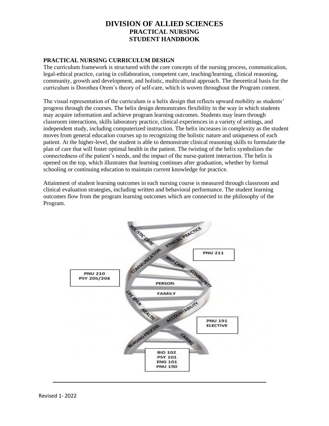### **PRACTICAL NURSING CURRICULUM DESIGN**

The curriculum framework is structured with the core concepts of the nursing process, communication, legal-ethical practice, caring in collaboration, competent care, teaching/learning, clinical reasoning, community, growth and development, and holistic, multicultural approach. The theoretical basis for the curriculum is Dorothea Orem's theory of self-care, which is woven throughout the Program content.

The visual representation of the curriculum is a helix design that reflects upward mobility as students' progress through the courses. The helix design demonstrates flexibility in the way in which students may acquire information and achieve program learning outcomes. Students may learn through classroom interactions, skills laboratory practice, clinical experiences in a variety of settings, and independent study, including computerized instruction. The helix increases in complexity as the student moves from general education courses up to recognizing the holistic nature and uniqueness of each patient. At the higher-level, the student is able to demonstrate clinical reasoning skills to formulate the plan of care that will foster optimal health in the patient. The twisting of the helix symbolizes the connectedness of the patient's needs, and the impact of the nurse-patient interaction. The helix is opened on the top, which illustrates that learning continues after graduation, whether by formal schooling or continuing education to maintain current knowledge for practice.

Attainment of student learning outcomes in each nursing course is measured through classroom and clinical evaluation strategies, including written and behavioral performance. The student learning outcomes flow from the program learning outcomes which are connected to the philosophy of the Program.

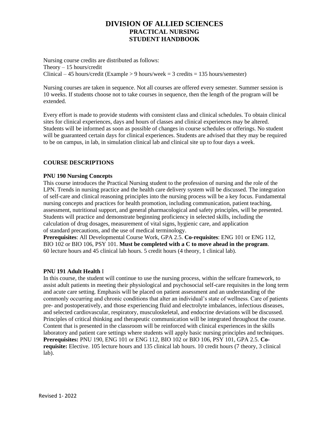Nursing course credits are distributed as follows: Theory – 15 hours/credit Clinical – 45 hours/credit (Example  $> 9$  hours/week = 3 credits = 135 hours/semester)

Nursing courses are taken in sequence. Not all courses are offered every semester. Summer session is 10 weeks. If students choose not to take courses in sequence, then the length of the program will be extended.

Every effort is made to provide students with consistent class and clinical schedules. To obtain clinical sites for clinical experiences, days and hours of classes and clinical experiences may be altered. Students will be informed as soon as possible of changes in course schedules or offerings. No student will be guaranteed certain days for clinical experiences. Students are advised that they may be required to be on campus, in lab, in simulation clinical lab and clinical site up to four days a week.

### **COURSE DESCRIPTIONS**

### **PNU 190 Nursing Concepts**

This course introduces the Practical Nursing student to the profession of nursing and the role of the LPN. Trends in nursing practice and the health care delivery system will be discussed. The integration of self-care and clinical reasoning principles into the nursing process will be a key focus. Fundamental nursing concepts and practices for health promotion, including communication, patient teaching, assessment, nutritional support, and general pharmacological and safety principles, will be presented. Students will practice and demonstrate beginning proficiency in selected skills, including the calculation of drug dosages, measurement of vital signs, hygienic care, and application of standard precautions, and the use of medical terminology.

**Prerequisites**: All Developmental Course Work, GPA 2.5. **Co-requisites**: ENG 101 or ENG 112, BIO 102 or BIO 106, PSY 101. **Must be completed with a C to move ahead in the program**. 60 lecture hours and 45 clinical lab hours. 5 credit hours (4 theory, 1 clinical lab).

#### **PNU 191 Adult Health** I

In this course, the student will continue to use the nursing process, within the selfcare framework, to assist adult patients in meeting their physiological and psychosocial self-care requisites in the long term and acute care setting. Emphasis will be placed on patient assessment and an understanding of the commonly occurring and chronic conditions that alter an individual's state of wellness. Care of patients pre- and postoperatively, and those experiencing fluid and electrolyte imbalances, infectious diseases, and selected cardiovascular, respiratory, musculoskeletal, and endocrine deviations will be discussed. Principles of critical thinking and therapeutic communication will be integrated throughout the course. Content that is presented in the classroom will be reinforced with clinical experiences in the skills laboratory and patient care settings where students will apply basic nursing principles and techniques. **Prerequisites:** PNU 190, ENG 101 or ENG 112, BIO 102 or BIO 106, PSY 101, GPA 2.5. **Corequisite:** Elective. 105 lecture hours and 135 clinical lab hours. 10 credit hours (7 theory, 3 clinical lab).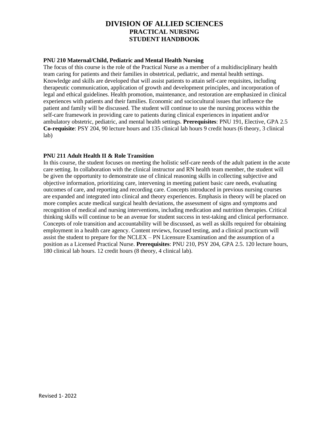### **PNU 210 Maternal/Child, Pediatric and Mental Health Nursing**

The focus of this course is the role of the Practical Nurse as a member of a multidisciplinary health team caring for patients and their families in obstetrical, pediatric, and mental health settings. Knowledge and skills are developed that will assist patients to attain self-care requisites, including therapeutic communication, application of growth and development principles, and incorporation of legal and ethical guidelines. Health promotion, maintenance, and restoration are emphasized in clinical experiences with patients and their families. Economic and sociocultural issues that influence the patient and family will be discussed. The student will continue to use the nursing process within the self-care framework in providing care to patients during clinical experiences in inpatient and/or ambulatory obstetric, pediatric, and mental health settings. **Prerequisites**: PNU 191, Elective, GPA 2.5 **Co-requisite**: PSY 204, 90 lecture hours and 135 clinical lab hours 9 credit hours (6 theory, 3 clinical lab)

### **PNU 211 Adult Health II & Role Transition**

In this course, the student focuses on meeting the holistic self-care needs of the adult patient in the acute care setting. In collaboration with the clinical instructor and RN health team member, the student will be given the opportunity to demonstrate use of clinical reasoning skills in collecting subjective and objective information, prioritizing care, intervening in meeting patient basic care needs, evaluating outcomes of care, and reporting and recording care. Concepts introduced in previous nursing courses are expanded and integrated into clinical and theory experiences. Emphasis in theory will be placed on more complex acute medical surgical health deviations, the assessment of signs and symptoms and recognition of medical and nursing interventions, including medication and nutrition therapies. Critical thinking skills will continue to be an avenue for student success in test-taking and clinical performance. Concepts of role transition and accountability will be discussed, as well as skills required for obtaining employment in a health care agency. Content reviews, focused testing, and a clinical practicum will assist the student to prepare for the NCLEX – PN Licensure Examination and the assumption of a position as a Licensed Practical Nurse. **Prerequisites**: PNU 210, PSY 204, GPA 2.5. 120 lecture hours, 180 clinical lab hours. 12 credit hours (8 theory, 4 clinical lab).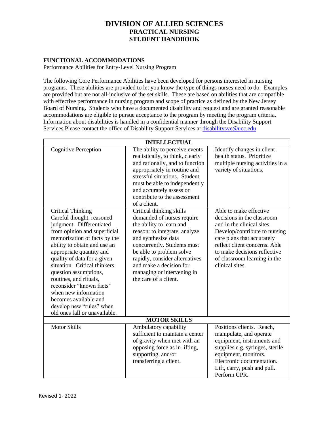## **FUNCTIONAL ACCOMMODATIONS**

Performance Abilities for Entry-Level Nursing Program

The following Core Performance Abilities have been developed for persons interested in nursing programs. These abilities are provided to let you know the type of things nurses need to do. Examples are provided but are not all-inclusive of the set skills. These are based on abilities that are compatible with effective performance in nursing program and scope of practice as defined by the New Jersey Board of Nursing. Students who have a documented disability and request and are granted reasonable accommodations are eligible to pursue acceptance to the program by meeting the program criteria. Information about disabilities is handled in a confidential manner through the Disability Support Services Please contact the office of Disability Support Services at [disabilitysvc@ucc.edu](mailto:disabilitysvc@ucc.edu)

| <b>INTELLECTUAL</b>                                                                                                                                                                                                                                                                                                                                                                                                                                                                                      |                                                                                                                                                                                                                                                                                                                                                                                                                                                                                                                                                                                                                  |                                                                                                                                                                                                                                                                                                                                                                                                |
|----------------------------------------------------------------------------------------------------------------------------------------------------------------------------------------------------------------------------------------------------------------------------------------------------------------------------------------------------------------------------------------------------------------------------------------------------------------------------------------------------------|------------------------------------------------------------------------------------------------------------------------------------------------------------------------------------------------------------------------------------------------------------------------------------------------------------------------------------------------------------------------------------------------------------------------------------------------------------------------------------------------------------------------------------------------------------------------------------------------------------------|------------------------------------------------------------------------------------------------------------------------------------------------------------------------------------------------------------------------------------------------------------------------------------------------------------------------------------------------------------------------------------------------|
| <b>Cognitive Perception</b><br><b>Critical Thinking</b><br>Careful thought, reasoned<br>judgment. Differentiated<br>from opinion and superficial<br>memorization of facts by the<br>ability to obtain and use an<br>appropriate quantity and<br>quality of data for a given<br>situation. Critical thinkers<br>question assumptions,<br>routines, and rituals,<br>reconsider "known facts"<br>when new information<br>becomes available and<br>develop new "rules" when<br>old ones fall or unavailable. | The ability to perceive events<br>realistically, to think, clearly<br>and rationally, and to function<br>appropriately in routine and<br>stressful situations. Student<br>must be able to independently<br>and accurately assess or<br>contribute to the assessment<br>of a client.<br>Critical thinking skills<br>demanded of nurses require<br>the ability to learn and<br>reason: to integrate, analyze<br>and synthesize data<br>concurrently. Students must<br>be able to problem solve<br>rapidly, consider alternatives<br>and make a decision for<br>managing or intervening in<br>the care of a client. | Identify changes in client<br>health status. Prioritize<br>multiple nursing activities in a<br>variety of situations.<br>Able to make effective<br>decisions in the classroom<br>and in the clinical sites.<br>Develop/contribute to nursing<br>care plans that accurately<br>reflect client concerns. Able<br>to make decisions reflective<br>of classroom learning in the<br>clinical sites. |
| <b>MOTOR SKILLS</b>                                                                                                                                                                                                                                                                                                                                                                                                                                                                                      |                                                                                                                                                                                                                                                                                                                                                                                                                                                                                                                                                                                                                  |                                                                                                                                                                                                                                                                                                                                                                                                |
| <b>Motor Skills</b>                                                                                                                                                                                                                                                                                                                                                                                                                                                                                      | Ambulatory capability<br>sufficient to maintain a center<br>of gravity when met with an<br>opposing force as in lifting,<br>supporting, and/or<br>transferring a client.                                                                                                                                                                                                                                                                                                                                                                                                                                         | Positions clients. Reach,<br>manipulate, and operate<br>equipment, instruments and<br>supplies e.g. syringes, sterile<br>equipment, monitors.<br>Electronic documentation.<br>Lift, carry, push and pull.<br>Perform CPR.                                                                                                                                                                      |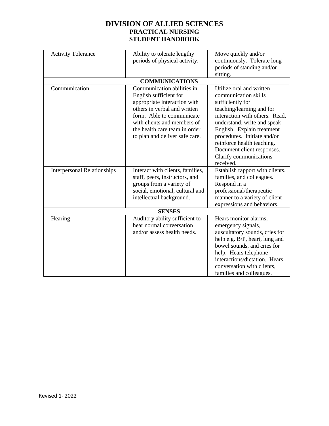| <b>Activity Tolerance</b>          | Ability to tolerate lengthy<br>periods of physical activity.                                                                                                                                                                                        | Move quickly and/or<br>continuously. Tolerate long<br>periods of standing and/or<br>sitting.                                                                                                                                                                                                                                       |
|------------------------------------|-----------------------------------------------------------------------------------------------------------------------------------------------------------------------------------------------------------------------------------------------------|------------------------------------------------------------------------------------------------------------------------------------------------------------------------------------------------------------------------------------------------------------------------------------------------------------------------------------|
|                                    | <b>COMMUNICATIONS</b>                                                                                                                                                                                                                               |                                                                                                                                                                                                                                                                                                                                    |
| Communication                      | Communication abilities in<br>English sufficient for<br>appropriate interaction with<br>others in verbal and written<br>form. Able to communicate<br>with clients and members of<br>the health care team in order<br>to plan and deliver safe care. | Utilize oral and written<br>communication skills<br>sufficiently for<br>teaching/learning and for<br>interaction with others. Read,<br>understand, write and speak<br>English. Explain treatment<br>procedures. Initiate and/or<br>reinforce health teaching.<br>Document client responses.<br>Clarify communications<br>received. |
| <b>Interpersonal Relationships</b> | Interact with clients, families,<br>staff, peers, instructors, and<br>groups from a variety of<br>social, emotional, cultural and<br>intellectual background.                                                                                       | Establish rapport with clients,<br>families, and colleagues.<br>Respond in a<br>professional/therapeutic<br>manner to a variety of client<br>expressions and behaviors.                                                                                                                                                            |
| <b>SENSES</b>                      |                                                                                                                                                                                                                                                     |                                                                                                                                                                                                                                                                                                                                    |
| Hearing                            | Auditory ability sufficient to<br>hear normal conversation<br>and/or assess health needs.                                                                                                                                                           | Hears monitor alarms,<br>emergency signals,<br>auscultatory sounds, cries for<br>help e.g. B/P, heart, lung and<br>bowel sounds, and cries for<br>help. Hears telephone<br>interactions/dictation. Hears<br>conversation with clients,<br>families and colleagues.                                                                 |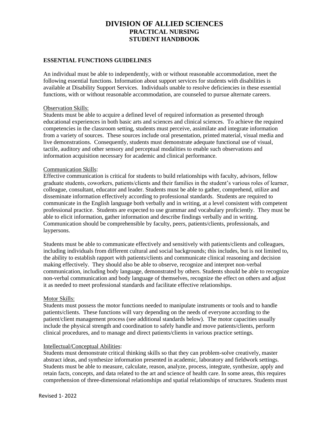### **ESSENTIAL FUNCTIONS GUIDELINES**

An individual must be able to independently, with or without reasonable accommodation, meet the following essential functions. Information about support services for students with disabilities is available at Disability Support Services. Individuals unable to resolve deficiencies in these essential functions, with or without reasonable accommodation, are counseled to pursue alternate careers.

#### Observation Skills:

Students must be able to acquire a defined level of required information as presented through educational experiences in both basic arts and sciences and clinical sciences. To achieve the required competencies in the classroom setting, students must perceive, assimilate and integrate information from a variety of sources. These sources include oral presentation, printed material, visual media and live demonstrations. Consequently, students must demonstrate adequate functional use of visual, tactile, auditory and other sensory and perceptual modalities to enable such observations and information acquisition necessary for academic and clinical performance.

#### Communication Skills:

Effective communication is critical for students to build relationships with faculty, advisors, fellow graduate students, coworkers, patients/clients and their families in the student's various roles of learner, colleague, consultant, educator and leader. Students must be able to gather, comprehend, utilize and disseminate information effectively according to professional standards. Students are required to communicate in the English language both verbally and in writing, at a level consistent with competent professional practice. Students are expected to use grammar and vocabulary proficiently. They must be able to elicit information, gather information and describe findings verbally and in writing. Communication should be comprehensible by faculty, peers, patients/clients, professionals, and laypersons.

Students must be able to communicate effectively and sensitively with patients/clients and colleagues, including individuals from different cultural and social backgrounds; this includes, but is not limited to, the ability to establish rapport with patients/clients and communicate clinical reasoning and decision making effectively. They should also be able to observe, recognize and interpret non-verbal communication, including body language, demonstrated by others. Students should be able to recognize non-verbal communication and body language of themselves, recognize the effect on others and adjust it as needed to meet professional standards and facilitate effective relationships.

#### Motor Skills:

Students must possess the motor functions needed to manipulate instruments or tools and to handle patients/clients. These functions will vary depending on the needs of everyone according to the patient/client management process (see additional standards below). The motor capacities usually include the physical strength and coordination to safely handle and move patients/clients, perform clinical procedures, and to manage and direct patients/clients in various practice settings.

#### Intellectual/Conceptual Abilities:

Students must demonstrate critical thinking skills so that they can problem-solve creatively, master abstract ideas, and synthesize information presented in academic, laboratory and fieldwork settings. Students must be able to measure, calculate, reason, analyze, process, integrate, synthesize, apply and retain facts, concepts, and data related to the art and science of health care. In some areas, this requires comprehension of three-dimensional relationships and spatial relationships of structures. Students must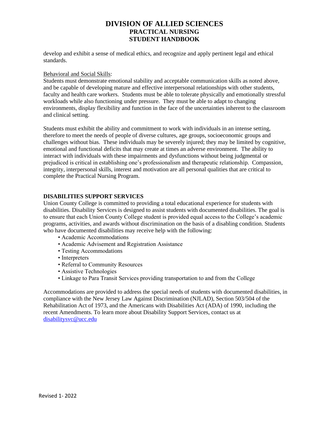develop and exhibit a sense of medical ethics, and recognize and apply pertinent legal and ethical standards.

#### Behavioral and Social Skills:

Students must demonstrate emotional stability and acceptable communication skills as noted above, and be capable of developing mature and effective interpersonal relationships with other students, faculty and health care workers. Students must be able to tolerate physically and emotionally stressful workloads while also functioning under pressure. They must be able to adapt to changing environments, display flexibility and function in the face of the uncertainties inherent to the classroom and clinical setting.

Students must exhibit the ability and commitment to work with individuals in an intense setting, therefore to meet the needs of people of diverse cultures, age groups, socioeconomic groups and challenges without bias. These individuals may be severely injured; they may be limited by cognitive, emotional and functional deficits that may create at times an adverse environment. The ability to interact with individuals with these impairments and dysfunctions without being judgmental or prejudiced is critical in establishing one's professionalism and therapeutic relationship. Compassion, integrity, interpersonal skills, interest and motivation are all personal qualities that are critical to complete the Practical Nursing Program.

### **DISABILITIES SUPPORT SERVICES**

Union County College is committed to providing a total educational experience for students with disabilities. Disability Services is designed to assist students with documented disabilities. The goal is to ensure that each Union County College student is provided equal access to the College's academic programs, activities, and awards without discrimination on the basis of a disabling condition. Students who have documented disabilities may receive help with the following:

- Academic Accommodations
- Academic Advisement and Registration Assistance
- Testing Accommodations
- Interpreters
- Referral to Community Resources
- Assistive Technologies
- Linkage to Para Transit Services providing transportation to and from the College

Accommodations are provided to address the special needs of students with documented disabilities, in compliance with the New Jersey Law Against Discrimination (NJLAD), Section 503/504 of the Rehabilitation Act of 1973, and the Americans with Disabilities Act (ADA) of 1990, including the recent Amendments. To learn more about Disability Support Services, contact us at [disabilitysvc@ucc.edu](mailto:disabilitysvc@ucc.edu)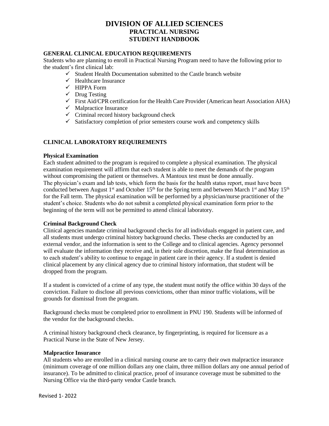### **GENERAL CLINICAL EDUCATION REQUIREMENTS**

Students who are planning to enroll in Practical Nursing Program need to have the following prior to the student's first clinical lab:

- $\checkmark$  Student Health Documentation submitted to the Castle branch website
- $\checkmark$  Healthcare Insurance
- ✓ HIPPA Form
- $\checkmark$  Drug Testing
- ✓ First Aid/CPR certification for the Health Care Provider (American heart Association AHA)
- $\checkmark$  Malpractice Insurance
- $\checkmark$  Criminal record history background check
- $\checkmark$  Satisfactory completion of prior semesters course work and competency skills

### **CLINICAL LABORATORY REQUIREMENTS**

#### **Physical Examination**

Each student admitted to the program is required to complete a physical examination. The physical examination requirement will affirm that each student is able to meet the demands of the program without compromising the patient or themselves. A Mantoux test must be done annually. The physician's exam and lab tests, which form the basis for the health status report, must have been conducted between August 1<sup>st</sup> and October 15<sup>th</sup> for the Spring term and between March 1<sup>st</sup> and May 15<sup>th</sup> for the Fall term. The physical examination will be performed by a physician/nurse practitioner of the student's choice. Students who do not submit a completed physical examination form prior to the beginning of the term will not be permitted to attend clinical laboratory.

### **Criminal Background Check**

Clinical agencies mandate criminal background checks for all individuals engaged in patient care, and all students must undergo criminal history background checks. These checks are conducted by an external vendor, and the information is sent to the College and to clinical agencies. Agency personnel will evaluate the information they receive and, in their sole discretion, make the final determination as to each student's ability to continue to engage in patient care in their agency. If a student is denied clinical placement by any clinical agency due to criminal history information, that student will be dropped from the program.

If a student is convicted of a crime of any type, the student must notify the office within 30 days of the conviction. Failure to disclose all previous convictions, other than minor traffic violations, will be grounds for dismissal from the program.

Background checks must be completed prior to enrollment in PNU 190. Students will be informed of the vendor for the background checks.

A criminal history background check clearance, by fingerprinting, is required for licensure as a Practical Nurse in the State of New Jersey.

#### **Malpractice Insurance**

All students who are enrolled in a clinical nursing course are to carry their own malpractice insurance (minimum coverage of one million dollars any one claim, three million dollars any one annual period of insurance). To be admitted to clinical practice, proof of insurance coverage must be submitted to the Nursing Office via the third-party vendor Castle branch.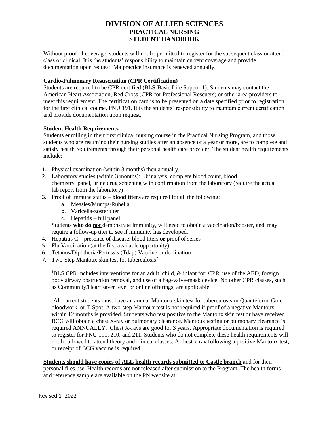Without proof of coverage, students will not be permitted to register for the subsequent class or attend class or clinical. It is the students' responsibility to maintain current coverage and provide documentation upon request. Malpractice insurance is renewed annually.

### **Cardio-Pulmonary Resuscitation (CPR Certification)**

Students are required to be CPR-certified (BLS-Basic Life Support1). Students may contact the American Heart Association, Red Cross (CPR for Professional Rescuers) or other area providers to meet this requirement. The certification card is to be presented on a date specified prior to registration for the first clinical course, PNU 191. It is the students' responsibility to maintain current certification and provide documentation upon request.

### **Student Health Requirements**

Students enrolling in their first clinical nursing course in the Practical Nursing Program, and those students who are resuming their nursing studies after an absence of a year or more, are to complete and satisfy health requirements through their personal health care provider. The student health requirements include:

- 1. Physical examination (within 3 months) then annually.
- 2. Laboratory studies (within 3 months): Urinalysis, complete blood count, blood chemistry panel, urine drug screening with confirmation from the laboratory (require the actual lab report from the laboratory)
- 3. Proof of immune status **blood titers** are required for all the following:
	- a. Measles/Mumps/Rubella
	- b. Varicella-zoster titer
	- c. Hepatitis full panel

Students **who do not** demonstrate immunity, will need to obtain a vaccination/booster, and may require a follow-up titer to see if immunity has developed.

- 4. Hepatitis C presence of disease, blood titers **or** proof of series
- 5. Flu Vaccination (at the first available opportunity)
- 6. Tetanus/Diphtheria/Pertussis (Tdap) Vaccine or declination
- 7. Two-Step Mantoux skin test for tuberculosis<sup>2.</sup>

<sup>1</sup>BLS CPR includes interventions for an adult, child,  $\&$  infant for: CPR, use of the AED, foreign body airway obstruction removal, and use of a bag-valve-mask device. No other CPR classes, such as Community/Heart saver level or online offerings, are applicable.

<sup>2</sup>All current students must have an annual Mantoux skin test for tuberculosis or Quanteferon Gold bloodwork, or T-Spot. A two-step Mantoux test is not required if proof of a negative Mantoux within 12 months is provided. Students who test positive to the Mantoux skin test or have received BCG will obtain a chest X-ray or pulmonary clearance. Mantoux testing or pulmonary clearance is required ANNUALLY. Chest X-rays are good for 3 years. Appropriate documentation is required to register for PNU 191, 210, and 211. Students who do not complete these health requirements will not be allowed to attend theory and clinical classes. A chest x-ray following a positive Mantoux test, or receipt of BCG vaccine is required.

#### **Students should have copies of ALL health records submitted to Castle branch** and for their personal files use. Health records are not released after submission to the Program. The health forms and reference sample are available on the PN website at: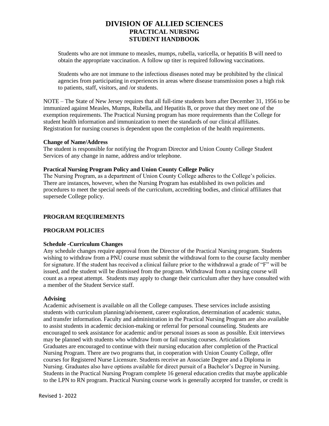Students who are not immune to measles, mumps, rubella, varicella, or hepatitis B will need to obtain the appropriate vaccination. A follow up titer is required following vaccinations.

Students who are not immune to the infectious diseases noted may be prohibited by the clinical agencies from participating in experiences in areas where disease transmission poses a high risk to patients, staff, visitors, and /or students.

NOTE – The State of New Jersey requires that all full-time students born after December 31, 1956 to be immunized against Measles, Mumps, Rubella, and Hepatitis B, or prove that they meet one of the exemption requirements. The Practical Nursing program has more requirements than the College for student health information and immunization to meet the standards of our clinical affiliates. Registration for nursing courses is dependent upon the completion of the health requirements.

#### **Change of Name/Address**

The student is responsible for notifying the Program Director and Union County College Student Services of any change in name, address and/or telephone.

### **Practical Nursing Program Policy and Union County College Policy**

The Nursing Program, as a department of Union County College adheres to the College's policies. There are instances, however, when the Nursing Program has established its own policies and procedures to meet the special needs of the curriculum, accrediting bodies, and clinical affiliates that supersede College policy.

### **PROGRAM REQUIREMENTS**

### **PROGRAM POLICIES**

#### **Schedule -Curriculum Changes**

Any schedule changes require approval from the Director of the Practical Nursing program. Students wishing to withdraw from a PNU course must submit the withdrawal form to the course faculty member for signature. If the student has received a clinical failure prior to the withdrawal a grade of "F" will be issued, and the student will be dismissed from the program. Withdrawal from a nursing course will count as a repeat attempt. Students may apply to change their curriculum after they have consulted with a member of the Student Service staff.

#### **Advising**

Academic advisement is available on all the College campuses. These services include assisting students with curriculum planning/advisement, career exploration, determination of academic status, and transfer information. Faculty and administration in the Practical Nursing Program are also available to assist students in academic decision-making or referral for personal counseling. Students are encouraged to seek assistance for academic and/or personal issues as soon as possible. Exit interviews may be planned with students who withdraw from or fail nursing courses. Articulations Graduates are encouraged to continue with their nursing education after completion of the Practical Nursing Program. There are two programs that, in cooperation with Union County College, offer courses for Registered Nurse Licensure. Students receive an Associate Degree and a Diploma in Nursing. Graduates also have options available for direct pursuit of a Bachelor's Degree in Nursing. Students in the Practical Nursing Program complete 16 general education credits that maybe applicable to the LPN to RN program. Practical Nursing course work is generally accepted for transfer, or credit is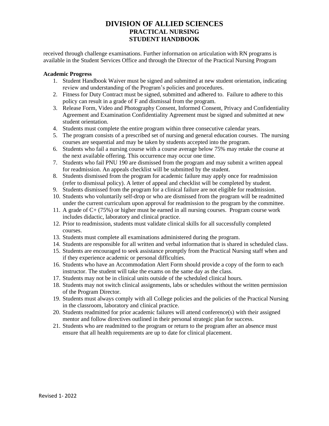received through challenge examinations. Further information on articulation with RN programs is available in the Student Services Office and through the Director of the Practical Nursing Program

#### **Academic Progress**

- 1. Student Handbook Waiver must be signed and submitted at new student orientation, indicating review and understanding of the Program's policies and procedures.
- 2. Fitness for Duty Contract must be signed, submitted and adhered to. Failure to adhere to this policy can result in a grade of F and dismissal from the program.
- 3. Release Form, Video and Photography Consent, Informed Consent, Privacy and Confidentiality Agreement and Examination Confidentiality Agreement must be signed and submitted at new student orientation.
- 4. Students must complete the entire program within three consecutive calendar years.
- 5. The program consists of a prescribed set of nursing and general education courses. The nursing courses are sequential and may be taken by students accepted into the program.
- 6. Students who fail a nursing course with a course average below 75% may retake the course at the next available offering. This occurrence may occur one time.
- 7. Students who fail PNU 190 are dismissed from the program and may submit a written appeal for readmission. An appeals checklist will be submitted by the student.
- 8. Students dismissed from the program for academic failure may apply once for readmission (refer to dismissal policy). A letter of appeal and checklist will be completed by student.
- 9. Students dismissed from the program for a clinical failure are not eligible for readmission.
- 10. Students who voluntarily self-drop or who are dismissed from the program will be readmitted under the current curriculum upon approval for readmission to the program by the committee.
- 11. A grade of C+ (75%) or higher must be earned in all nursing courses. Program course work includes didactic, laboratory and clinical practice.
- 12. Prior to readmission, students must validate clinical skills for all successfully completed courses.
- 13. Students must complete all examinations administered during the program.
- 14. Students are responsible for all written and verbal information that is shared in scheduled class.
- 15. Students are encouraged to seek assistance promptly from the Practical Nursing staff when and if they experience academic or personal difficulties.
- 16. Students who have an Accommodation Alert Form should provide a copy of the form to each instructor. The student will take the exams on the same day as the class.
- 17. Students may not be in clinical units outside of the scheduled clinical hours.
- 18. Students may not switch clinical assignments, labs or schedules without the written permission of the Program Director.
- 19. Students must always comply with all College policies and the policies of the Practical Nursing in the classroom, laboratory and clinical practice.
- 20. Students readmitted for prior academic failures will attend conference(s) with their assigned mentor and follow directives outlined in their personal strategic plan for success.
- 21. Students who are readmitted to the program or return to the program after an absence must ensure that all health requirements are up to date for clinical placement.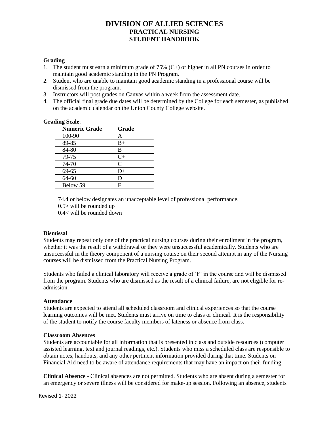### **Grading**

- 1. The student must earn a minimum grade of 75%  $(C+)$  or higher in all PN courses in order to maintain good academic standing in the PN Program.
- 2. Student who are unable to maintain good academic standing in a professional course will be dismissed from the program.
- 3. Instructors will post grades on Canvas within a week from the assessment date.
- 4. The official final grade due dates will be determined by the College for each semester, as published on the academic calendar on the Union County College website.

#### **Grading Scale**:

| <b>Numeric Grade</b> | Grade         |
|----------------------|---------------|
| 100-90               | Α             |
| 89-85                | $B+$          |
| 84-80                | B             |
| 79-75                | $C+$          |
| 74-70                | $\mathcal{C}$ |
| 69-65                | $D+$          |
| 64-60                | D             |
| Below 59             | F             |

74.4 or below designates an unacceptable level of professional performance.

0.5> will be rounded up

0.4< will be rounded down

### **Dismissal**

Students may repeat only one of the practical nursing courses during their enrollment in the program, whether it was the result of a withdrawal or they were unsuccessful academically. Students who are unsuccessful in the theory component of a nursing course on their second attempt in any of the Nursing courses will be dismissed from the Practical Nursing Program.

Students who failed a clinical laboratory will receive a grade of 'F' in the course and will be dismissed from the program. Students who are dismissed as the result of a clinical failure, are not eligible for readmission.

### **Attendance**

Students are expected to attend all scheduled classroom and clinical experiences so that the course learning outcomes will be met. Students must arrive on time to class or clinical. It is the responsibility of the student to notify the course faculty members of lateness or absence from class.

#### **Classroom Absences**

Students are accountable for all information that is presented in class and outside resources (computer assisted learning, text and journal readings, etc.). Students who miss a scheduled class are responsible to obtain notes, handouts, and any other pertinent information provided during that time. Students on Financial Aid need to be aware of attendance requirements that may have an impact on their funding.

**Clinical Absence** - Clinical absences are not permitted. Students who are absent during a semester for an emergency or severe illness will be considered for make-up session. Following an absence, students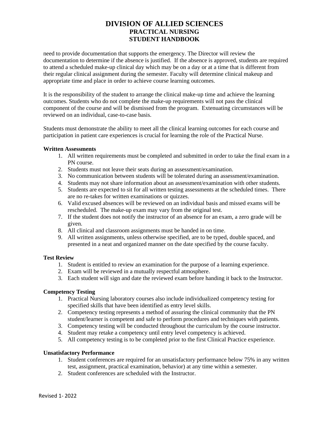need to provide documentation that supports the emergency. The Director will review the documentation to determine if the absence is justified. If the absence is approved, students are required to attend a scheduled make-up clinical day which may be on a day or at a time that is different from their regular clinical assignment during the semester. Faculty will determine clinical makeup and appropriate time and place in order to achieve course learning outcomes.

It is the responsibility of the student to arrange the clinical make-up time and achieve the learning outcomes. Students who do not complete the make-up requirements will not pass the clinical component of the course and will be dismissed from the program. Extenuating circumstances will be reviewed on an individual, case-to-case basis.

Students must demonstrate the ability to meet all the clinical learning outcomes for each course and participation in patient care experiences is crucial for learning the role of the Practical Nurse.

#### **Written Assessments**

- 1. All written requirements must be completed and submitted in order to take the final exam in a PN course.
- 2. Students must not leave their seats during an assessment/examination.
- 3. No communication between students will be tolerated during an assessment/examination.
- 4. Students may not share information about an assessment/examination with other students.
- 5. Students are expected to sit for all written testing assessments at the scheduled times. There are no re-takes for written examinations or quizzes.
- 6. Valid excused absences will be reviewed on an individual basis and missed exams will be rescheduled. The make-up exam may vary from the original test.
- 7. If the student does not notify the instructor of an absence for an exam, a zero grade will be given.
- 8. All clinical and classroom assignments must be handed in on time.
- 9. All written assignments, unless otherwise specified, are to be typed, double spaced, and presented in a neat and organized manner on the date specified by the course faculty.

#### **Test Review**

- 1. Student is entitled to review an examination for the purpose of a learning experience.
- 2. Exam will be reviewed in a mutually respectful atmosphere.
- 3. Each student will sign and date the reviewed exam before handing it back to the Instructor.

#### **Competency Testing**

- 1. Practical Nursing laboratory courses also include individualized competency testing for specified skills that have been identified as entry level skills.
- 2. Competency testing represents a method of assuring the clinical community that the PN student/learner is competent and safe to perform procedures and techniques with patients.
- 3. Competency testing will be conducted throughout the curriculum by the course instructor.
- 4. Student may retake a competency until entry level competency is achieved.
- 5. All competency testing is to be completed prior to the first Clinical Practice experience.

#### **Unsatisfactory Performance**

- 1. Student conferences are required for an unsatisfactory performance below 75% in any written test, assignment, practical examination, behavior) at any time within a semester.
- 2. Student conferences are scheduled with the Instructor.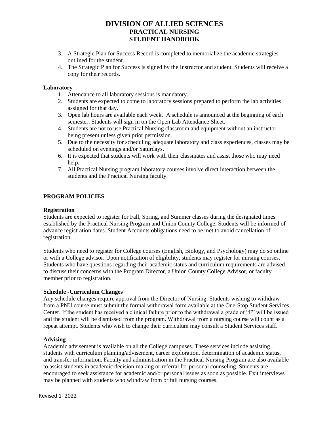- 3. A Strategic Plan for Success Record is completed to memorialize the academic strategies outlined for the student.
- 4. The Strategic Plan for Success is signed by the Instructor and student. Students will receive a copy for their records.

### **Laboratory**

- 1. Attendance to all laboratory sessions is mandatory.
- 2. Students are expected to come to laboratory sessions prepared to perform the lab activities assigned for that day.
- 3. Open lab hours are available each week. A schedule is announced at the beginning of each semester. Students will sign in on the Open Lab Attendance Sheet.
- 4. Students are not to use Practical Nursing classroom and equipment without an instructor being present unless given prior permission.
- 5. Due to the necessity for scheduling adequate laboratory and class experiences, classes may be scheduled on evenings and/or Saturdays.
- 6. It is expected that students will work with their classmates and assist those who may need help.
- 7. All Practical Nursing program laboratory courses involve direct interaction between the students and the Practical Nursing faculty.

### **PROGRAM POLICIES**

#### **Registration**

Students are expected to register for Fall, Spring, and Summer classes during the designated times established by the Practical Nursing Program and Union County College. Students will be informed of advance registration dates. Student Accounts obligations need to be met to avoid cancellation of registration.

Students who need to register for College courses (English, Biology, and Psychology) may do so online or with a College advisor. Upon notification of eligibility, students may register for nursing courses. Students who have questions regarding their academic status and curriculum requirements are advised to discuss their concerns with the Program Director, a Union County College Advisor, or faculty member prior to registration.

#### **Schedule -Curriculum Changes**

Any schedule changes require approval from the Director of Nursing. Students wishing to withdraw from a PNU course must submit the formal withdrawal form available at the One-Stop Student Services Center. If the student has received a clinical failure prior to the withdrawal a grade of "F" will be issued and the student will be dismissed from the program. Withdrawal from a nursing course will count as a repeat attempt. Students who wish to change their curriculum may consult a Student Services staff.

#### **Advising**

Academic advisement is available on all the College campuses. These services include assisting students with curriculum planning/advisement, career exploration, determination of academic status, and transfer information. Faculty and administration in the Practical Nursing Program are also available to assist students in academic decision-making or referral for personal counseling. Students are encouraged to seek assistance for academic and/or personal issues as soon as possible. Exit interviews may be planned with students who withdraw from or fail nursing courses.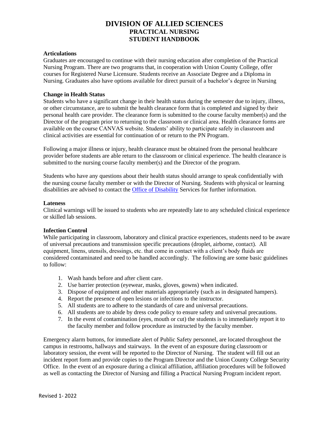#### **Articulations**

Graduates are encouraged to continue with their nursing education after completion of the Practical Nursing Program. There are two programs that, in cooperation with Union County College, offer courses for Registered Nurse Licensure. Students receive an Associate Degree and a Diploma in Nursing. Graduates also have options available for direct pursuit of a bachelor's degree in Nursing

#### **Change in Health Status**

Students who have a significant change in their health status during the semester due to injury, illness, or other circumstance, are to submit the health clearance form that is completed and signed by their personal health care provider. The clearance form is submitted to the course faculty member(s) and the Director of the program prior to returning to the classroom or clinical area. Health clearance forms are available on the course CANVAS website. Students' ability to participate safely in classroom and clinical activities are essential for continuation of or return to the PN Program.

Following a major illness or injury, health clearance must be obtained from the personal healthcare provider before students are able return to the classroom or clinical experience. The health clearance is submitted to the nursing course faculty member(s) and the Director of the program.

Students who have any questions about their health status should arrange to speak confidentially with the nursing course faculty member or with the Director of Nursing. Students with physical or learning disabilities are advised to contact the [Office of Disability](https://www.ucc.edu/administration/the-office-for-equal-opportunity/disability-services/) Services for further information.

#### **Lateness**

Clinical warnings will be issued to students who are repeatedly late to any scheduled clinical experience or skilled lab sessions.

#### **Infection Control**

While participating in classroom, laboratory and clinical practice experiences, students need to be aware of universal precautions and transmission specific precautions (droplet, airborne, contact). All equipment, linens, utensils, dressings, etc. that come in contact with a client's body fluids are considered contaminated and need to be handled accordingly. The following are some basic guidelines to follow:

- 1. Wash hands before and after client care.
- 2. Use barrier protection (eyewear, masks, gloves, gowns) when indicated.
- 3. Dispose of equipment and other materials appropriately (such as in designated hampers).
- 4. Report the presence of open lesions or infections to the instructor.
- 5. All students are to adhere to the standards of care and universal precautions.
- 6. All students are to abide by dress code policy to ensure safety and universal precautions.
- 7. In the event of contamination (eyes, mouth or cut) the students is to immediately report it to the faculty member and follow procedure as instructed by the faculty member.

Emergency alarm buttons, for immediate alert of Public Safety personnel, are located throughout the campus in restrooms, hallways and stairways. In the event of an exposure during classroom or laboratory session, the event will be reported to the Director of Nursing. The student will fill out an incident report form and provide copies to the Program Director and the Union County College Security Office. In the event of an exposure during a clinical affiliation, affiliation procedures will be followed as well as contacting the Director of Nursing and filling a Practical Nursing Program incident report.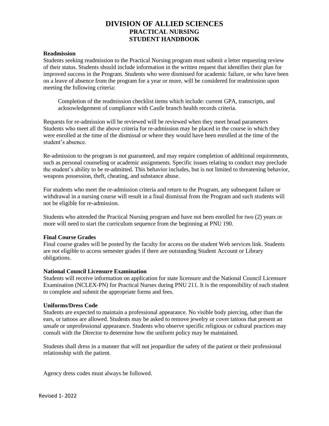#### **Readmission**

Students seeking readmission to the Practical Nursing program must submit a letter requesting review of their status. Students should include information in the written request that identifies their plan for improved success in the Program. Students who were dismissed for academic failure, or who have been on a leave of absence from the program for a year or more, will be considered for readmission upon meeting the following criteria:

Completion of the readmission checklist items which include: current GPA, transcripts, and acknowledgement of compliance with Castle branch health records criteria.

Requests for re-admission will be reviewed will be reviewed when they meet broad parameters Students who meet all the above criteria for re-admission may be placed in the course in which they were enrolled at the time of the dismissal or where they would have been enrolled at the time of the student's absence.

Re-admission to the program is not guaranteed, and may require completion of additional requirements, such as personal counseling or academic assignments. Specific issues relating to conduct may preclude the student's ability to be re-admitted. This behavior includes, but is not limited to threatening behavior, weapons possession, theft, cheating, and substance abuse.

For students who meet the re-admission criteria and return to the Program, any subsequent failure or withdrawal in a nursing course will result in a final dismissal from the Program and such students will not be eligible for re-admission.

Students who attended the Practical Nursing program and have not been enrolled for two (2) years or more will need to start the curriculum sequence from the beginning at PNU 190.

#### **Final Course Grades**

Final course grades will be posted by the faculty for access on the student Web services link. Students are not eligible to access semester grades if there are outstanding Student Account or Library obligations.

#### **National Council Licensure Examination**

Students will receive information on application for state licensure and the National Council Licensure Examination (NCLEX-PN) for Practical Nurses during PNU 211. It is the responsibility of each student to complete and submit the appropriate forms and fees.

#### **Uniforms/Dress Code**

Students are expected to maintain a professional appearance. No visible body piercing, other than the ears, or tattoos are allowed. Students may be asked to remove jewelry or cover tattoos that present an unsafe or unprofessional appearance. Students who observe specific religious or cultural practices may consult with the Director to determine how the uniform policy may be maintained.

Students shall dress in a manner that will not jeopardize the safety of the patient or their professional relationship with the patient.

Agency dress codes must always be followed.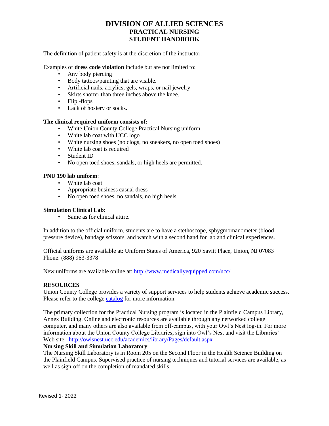The definition of patient safety is at the discretion of the instructor.

Examples of **dress code violation** include but are not limited to:

- Any body piercing
- Body tattoos/painting that are visible.
- Artificial nails, acrylics, gels, wraps, or nail jewelry
- Skirts shorter than three inches above the knee.
- Flip -flops
- Lack of hosiery or socks.

#### **The clinical required uniform consists of:**

- White Union County College Practical Nursing uniform
- White lab coat with UCC logo
- White nursing shoes (no clogs, no sneakers, no open toed shoes)
- White lab coat is required
- Student ID
- No open toed shoes, sandals, or high heels are permitted.

### **PNU 190 lab uniform**:

- White lab coat
- Appropriate business casual dress
- No open toed shoes, no sandals, no high heels

#### **Simulation Clinical Lab:**

• Same as for clinical attire.

In addition to the official uniform, students are to have a stethoscope, sphygmomanometer (blood pressure device), bandage scissors, and watch with a second hand for lab and clinical experiences.

Official uniforms are available at: Uniform States of America, 920 Savitt Place, Union, NJ 07083 Phone: (888) 963-3378

New uniforms are available online at:<http://www.medicallyequipped.com/ucc/>

### **RESOURCES**

Union County College provides a variety of support services to help students achieve academic success. Please refer to the college [catalog](http://onlinecatalog.ucc.edu/content.php?catoid=5&navoid=831) for more information.

The primary collection for the Practical Nursing program is located in the Plainfield Campus Library, Annex Building. Online and electronic resources are available through any networked college computer, and many others are also available from off-campus, with your Owl's Nest log-in. For more information about the Union County College Libraries, sign into Owl's Nest and visit the Libraries' Web site: <http://owlsnest.ucc.edu/academics/library/Pages/default.aspx>

# **Nursing Skill and Simulation Laboratory**

The Nursing Skill Laboratory is in Room 205 on the Second Floor in the Health Science Building on the Plainfield Campus. Supervised practice of nursing techniques and tutorial services are available, as well as sign-off on the completion of mandated skills.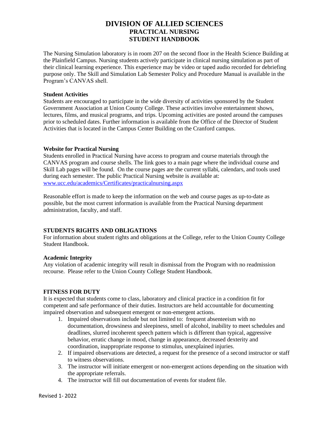The Nursing Simulation laboratory is in room 207 on the second floor in the Health Science Building at the Plainfield Campus. Nursing students actively participate in clinical nursing simulation as part of their clinical learning experience. This experience may be video or taped audio recorded for debriefing purpose only. The Skill and Simulation Lab Semester Policy and Procedure Manual is available in the Program's CANVAS shell.

#### **Student Activities**

Students are encouraged to participate in the wide diversity of activities sponsored by the Student Government Association at Union County College. These activities involve entertainment shows, lectures, films, and musical programs, and trips. Upcoming activities are posted around the campuses prior to scheduled dates. Further information is available from the Office of the Director of Student Activities that is located in the Campus Center Building on the Cranford campus.

#### **Website for Practical Nursing**

Students enrolled in Practical Nursing have access to program and course materials through the CANVAS program and course shells. The link goes to a main page where the individual course and Skill Lab pages will be found. On the course pages are the current syllabi, calendars, and tools used during each semester. The public Practical Nursing website is available at: [www.ucc.edu/academics/Certificates/practicalnursing.aspx](http://www.ucc.edu/academics/Certificates/practicalnursing.aspx)

Reasonable effort is made to keep the information on the web and course pages as up-to-date as possible, but the most current information is available from the Practical Nursing department administration, faculty, and staff.

### **STUDENTS RIGHTS AND OBLIGATIONS**

For information about student rights and obligations at the College, refer to the Union County College Student Handbook.

### **Academic Integrity**

Any violation of academic integrity will result in dismissal from the Program with no readmission recourse. Please refer to the Union County College Student Handbook.

### **FITNESS FOR DUTY**

It is expected that students come to class, laboratory and clinical practice in a condition fit for competent and safe performance of their duties. Instructors are held accountable for documenting impaired observation and subsequent emergent or non-emergent actions.

- 1. Impaired observations include but not limited to: frequent absenteeism with no documentation, drowsiness and sleepiness, smell of alcohol, inability to meet schedules and deadlines, slurred incoherent speech pattern which is different than typical, aggressive behavior, erratic change in mood, change in appearance, decreased dexterity and coordination, inappropriate response to stimulus, unexplained injuries.
- 2. If impaired observations are detected, a request for the presence of a second instructor or staff to witness observations.
- 3. The instructor will initiate emergent or non-emergent actions depending on the situation with the appropriate referrals.
- 4. The instructor will fill out documentation of events for student file.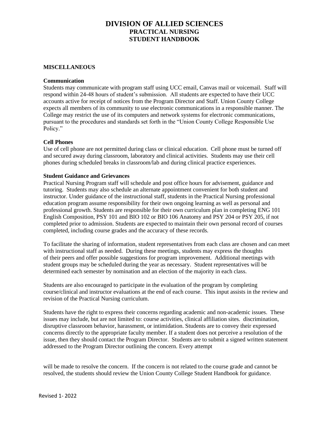#### **MISCELLANEOUS**

#### **Communication**

Students may communicate with program staff using UCC email, Canvas mail or voicemail. Staff will respond within 24-48 hours of student's submission. All students are expected to have their UCC accounts active for receipt of notices from the Program Director and Staff. Union County College expects all members of its community to use electronic communications in a responsible manner. The College may restrict the use of its computers and network systems for electronic communications, pursuant to the procedures and standards set forth in the "Union County College Responsible Use Policy."

### **Cell Phones**

Use of cell phone are not permitted during class or clinical education. Cell phone must be turned off and secured away during classroom, laboratory and clinical activities. Students may use their cell phones during scheduled breaks in classroom/lab and during clinical practice experiences.

#### **Student Guidance and Grievances**

Practical Nursing Program staff will schedule and post office hours for advisement, guidance and tutoring. Students may also schedule an alternate appointment convenient for both student and instructor. Under guidance of the instructional staff, students in the Practical Nursing professional education program assume responsibility for their own ongoing learning as well as personal and professional growth. Students are responsible for their own curriculum plan in completing ENG 101 English Composition, PSY 101 and BIO 102 or BIO 106 Anatomy and PSY 204 or PSY 205, if not completed prior to admission. Students are expected to maintain their own personal record of courses completed, including course grades and the accuracy of these records.

To facilitate the sharing of information, student representatives from each class are chosen and can meet with instructional staff as needed. During these meetings, students may express the thoughts of their peers and offer possible suggestions for program improvement. Additional meetings with student groups may be scheduled during the year as necessary. Student representatives will be determined each semester by nomination and an election of the majority in each class.

Students are also encouraged to participate in the evaluation of the program by completing course/clinical and instructor evaluations at the end of each course. This input assists in the review and revision of the Practical Nursing curriculum.

Students have the right to express their concerns regarding academic and non-academic issues. These issues may include, but are not limited to: course activities, clinical affiliation sites. discrimination, disruptive classroom behavior, harassment, or intimidation. Students are to convey their expressed concerns directly to the appropriate faculty member. If a student does not perceive a resolution of the issue, then they should contact the Program Director. Students are to submit a signed written statement addressed to the Program Director outlining the concern. Every attempt

will be made to resolve the concern. If the concern is not related to the course grade and cannot be resolved, the students should review the Union County College Student Handbook for guidance.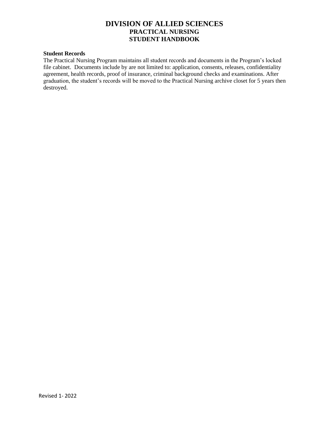### **Student Records**

The Practical Nursing Program maintains all student records and documents in the Program's locked file cabinet. Documents include by are not limited to: application, consents, releases, confidentiality agreement, health records, proof of insurance, criminal background checks and examinations. After graduation, the student's records will be moved to the Practical Nursing archive closet for 5 years then destroyed.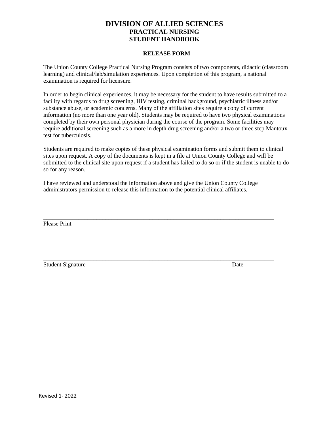#### **RELEASE FORM**

The Union County College Practical Nursing Program consists of two components, didactic (classroom learning) and clinical/lab/simulation experiences. Upon completion of this program, a national examination is required for licensure.

In order to begin clinical experiences, it may be necessary for the student to have results submitted to a facility with regards to drug screening, HIV testing, criminal background, psychiatric illness and/or substance abuse, or academic concerns. Many of the affiliation sites require a copy of current information (no more than one year old). Students may be required to have two physical examinations completed by their own personal physician during the course of the program. Some facilities may require additional screening such as a more in depth drug screening and/or a two or three step Mantoux test for tuberculosis.

Students are required to make copies of these physical examination forms and submit them to clinical sites upon request. A copy of the documents is kept in a file at Union County College and will be submitted to the clinical site upon request if a student has failed to do so or if the student is unable to do so for any reason.

I have reviewed and understood the information above and give the Union County College administrators permission to release this information to the potential clinical affiliates.

\_\_\_\_\_\_\_\_\_\_\_\_\_\_\_\_\_\_\_\_\_\_\_\_\_\_\_\_\_\_\_\_\_\_\_\_\_\_\_\_\_\_\_\_\_\_\_\_\_\_\_\_\_\_\_\_\_\_\_\_\_\_\_\_\_\_\_\_\_\_\_\_\_\_\_\_\_\_

\_\_\_\_\_\_\_\_\_\_\_\_\_\_\_\_\_\_\_\_\_\_\_\_\_\_\_\_\_\_\_\_\_\_\_\_\_\_\_\_\_\_\_\_\_\_\_\_\_\_\_\_\_\_\_\_\_\_\_\_\_\_\_\_\_\_\_\_\_\_\_\_\_\_\_\_\_\_

Please Print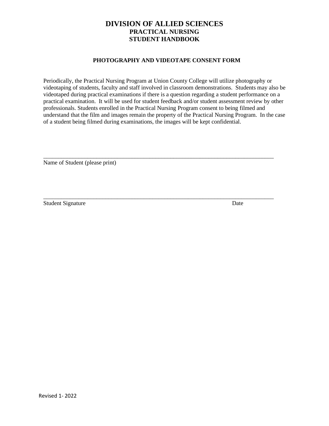#### **PHOTOGRAPHY AND VIDEOTAPE CONSENT FORM**

Periodically, the Practical Nursing Program at Union County College will utilize photography or videotaping of students, faculty and staff involved in classroom demonstrations. Students may also be videotaped during practical examinations if there is a question regarding a student performance on a practical examination. It will be used for student feedback and/or student assessment review by other professionals. Students enrolled in the Practical Nursing Program consent to being filmed and understand that the film and images remain the property of the Practical Nursing Program. In the case of a student being filmed during examinations, the images will be kept confidential.

\_\_\_\_\_\_\_\_\_\_\_\_\_\_\_\_\_\_\_\_\_\_\_\_\_\_\_\_\_\_\_\_\_\_\_\_\_\_\_\_\_\_\_\_\_\_\_\_\_\_\_\_\_\_\_\_\_\_\_\_\_\_\_\_\_\_\_\_\_\_\_\_\_\_\_\_\_\_

\_\_\_\_\_\_\_\_\_\_\_\_\_\_\_\_\_\_\_\_\_\_\_\_\_\_\_\_\_\_\_\_\_\_\_\_\_\_\_\_\_\_\_\_\_\_\_\_\_\_\_\_\_\_\_\_\_\_\_\_\_\_\_\_\_\_\_\_\_\_\_\_\_\_\_\_\_\_

Name of Student (please print)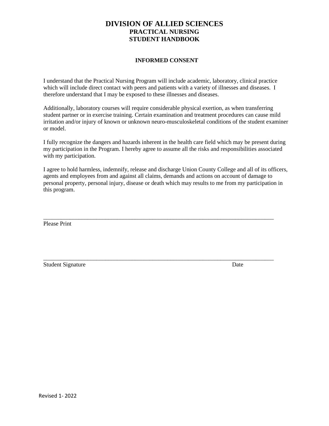### **INFORMED CONSENT**

I understand that the Practical Nursing Program will include academic, laboratory, clinical practice which will include direct contact with peers and patients with a variety of illnesses and diseases. I therefore understand that I may be exposed to these illnesses and diseases.

Additionally, laboratory courses will require considerable physical exertion, as when transferring student partner or in exercise training. Certain examination and treatment procedures can cause mild irritation and/or injury of known or unknown neuro-musculoskeletal conditions of the student examiner or model.

I fully recognize the dangers and hazards inherent in the health care field which may be present during my participation in the Program. I hereby agree to assume all the risks and responsibilities associated with my participation.

I agree to hold harmless, indemnify, release and discharge Union County College and all of its officers, agents and employees from and against all claims, demands and actions on account of damage to personal property, personal injury, disease or death which may results to me from my participation in this program.

\_\_\_\_\_\_\_\_\_\_\_\_\_\_\_\_\_\_\_\_\_\_\_\_\_\_\_\_\_\_\_\_\_\_\_\_\_\_\_\_\_\_\_\_\_\_\_\_\_\_\_\_\_\_\_\_\_\_\_\_\_\_\_\_\_\_\_\_\_\_\_\_\_\_\_\_\_\_

Please Print

Student Signature Date

\_\_\_\_\_\_\_\_\_\_\_\_\_\_\_\_\_\_\_\_\_\_\_\_\_\_\_\_\_\_\_\_\_\_\_\_\_\_\_\_\_\_\_\_\_\_\_\_\_\_\_\_\_\_\_\_\_\_\_\_\_\_\_\_\_\_\_\_\_\_\_\_\_\_\_\_\_\_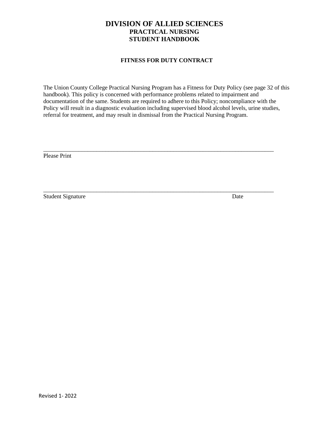### **FITNESS FOR DUTY CONTRACT**

The Union County College Practical Nursing Program has a Fitness for Duty Policy (see page 32 of this handbook). This policy is concerned with performance problems related to impairment and documentation of the same. Students are required to adhere to this Policy; noncompliance with the Policy will result in a diagnostic evaluation including supervised blood alcohol levels, urine studies, referral for treatment, and may result in dismissal from the Practical Nursing Program.

\_\_\_\_\_\_\_\_\_\_\_\_\_\_\_\_\_\_\_\_\_\_\_\_\_\_\_\_\_\_\_\_\_\_\_\_\_\_\_\_\_\_\_\_\_\_\_\_\_\_\_\_\_\_\_\_\_\_\_\_\_\_\_\_\_\_\_\_\_\_\_\_\_\_\_\_\_\_

\_\_\_\_\_\_\_\_\_\_\_\_\_\_\_\_\_\_\_\_\_\_\_\_\_\_\_\_\_\_\_\_\_\_\_\_\_\_\_\_\_\_\_\_\_\_\_\_\_\_\_\_\_\_\_\_\_\_\_\_\_\_\_\_\_\_\_\_\_\_\_\_\_\_\_\_\_\_

Please Print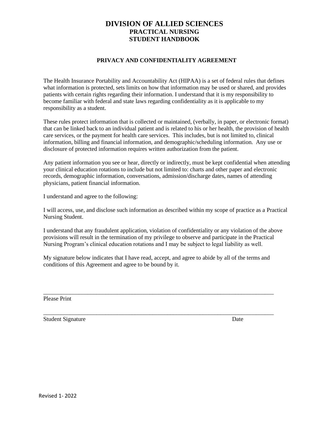### **PRIVACY AND CONFIDENTIALITY AGREEMENT**

The Health Insurance Portability and Accountability Act (HIPAA) is a set of federal rules that defines what information is protected, sets limits on how that information may be used or shared, and provides patients with certain rights regarding their information. I understand that it is my responsibility to become familiar with federal and state laws regarding confidentiality as it is applicable to my responsibility as a student.

These rules protect information that is collected or maintained, (verbally, in paper, or electronic format) that can be linked back to an individual patient and is related to his or her health, the provision of health care services, or the payment for health care services. This includes, but is not limited to, clinical information, billing and financial information, and demographic/scheduling information. Any use or disclosure of protected information requires written authorization from the patient.

Any patient information you see or hear, directly or indirectly, must be kept confidential when attending your clinical education rotations to include but not limited to: charts and other paper and electronic records, demographic information, conversations, admission/discharge dates, names of attending physicians, patient financial information.

I understand and agree to the following:

I will access, use, and disclose such information as described within my scope of practice as a Practical Nursing Student.

I understand that any fraudulent application, violation of confidentiality or any violation of the above provisions will result in the termination of my privilege to observe and participate in the Practical Nursing Program's clinical education rotations and I may be subject to legal liability as well.

My signature below indicates that I have read, accept, and agree to abide by all of the terms and conditions of this Agreement and agree to be bound by it.

\_\_\_\_\_\_\_\_\_\_\_\_\_\_\_\_\_\_\_\_\_\_\_\_\_\_\_\_\_\_\_\_\_\_\_\_\_\_\_\_\_\_\_\_\_\_\_\_\_\_\_\_\_\_\_\_\_\_\_\_\_\_\_\_\_\_\_\_\_\_\_\_\_\_\_\_\_\_

\_\_\_\_\_\_\_\_\_\_\_\_\_\_\_\_\_\_\_\_\_\_\_\_\_\_\_\_\_\_\_\_\_\_\_\_\_\_\_\_\_\_\_\_\_\_\_\_\_\_\_\_\_\_\_\_\_\_\_\_\_\_\_\_\_\_\_\_\_\_\_\_\_\_\_\_\_\_

Please Print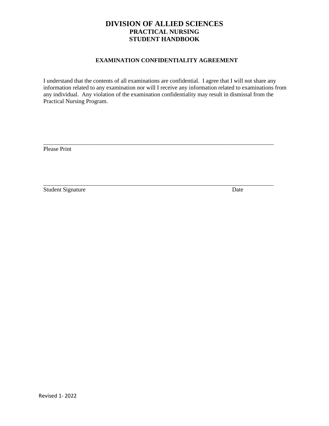### **EXAMINATION CONFIDENTIALITY AGREEMENT**

I understand that the contents of all examinations are confidential. I agree that I will not share any information related to any examination nor will I receive any information related to examinations from any individual. Any violation of the examination confidentiality may result in dismissal from the Practical Nursing Program.

\_\_\_\_\_\_\_\_\_\_\_\_\_\_\_\_\_\_\_\_\_\_\_\_\_\_\_\_\_\_\_\_\_\_\_\_\_\_\_\_\_\_\_\_\_\_\_\_\_\_\_\_\_\_\_\_\_\_\_\_\_\_\_\_\_\_\_\_\_\_\_\_\_\_\_\_\_\_

\_\_\_\_\_\_\_\_\_\_\_\_\_\_\_\_\_\_\_\_\_\_\_\_\_\_\_\_\_\_\_\_\_\_\_\_\_\_\_\_\_\_\_\_\_\_\_\_\_\_\_\_\_\_\_\_\_\_\_\_\_\_\_\_\_\_\_\_\_\_\_\_\_\_\_\_\_\_

Please Print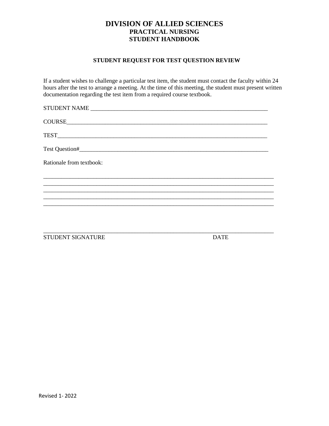# **STUDENT REQUEST FOR TEST QUESTION REVIEW**

If a student wishes to challenge a particular test item, the student must contact the faculty within 24 hours after the test to arrange a meeting. At the time of this meeting, the student must present written documentation regarding the test item from a required course textbook.

| Rationale from textbook: |
|--------------------------|
|                          |
|                          |
|                          |
|                          |
|                          |

STUDENT SIGNATURE DATE

\_\_\_\_\_\_\_\_\_\_\_\_\_\_\_\_\_\_\_\_\_\_\_\_\_\_\_\_\_\_\_\_\_\_\_\_\_\_\_\_\_\_\_\_\_\_\_\_\_\_\_\_\_\_\_\_\_\_\_\_\_\_\_\_\_\_\_\_\_\_\_\_\_\_\_\_\_\_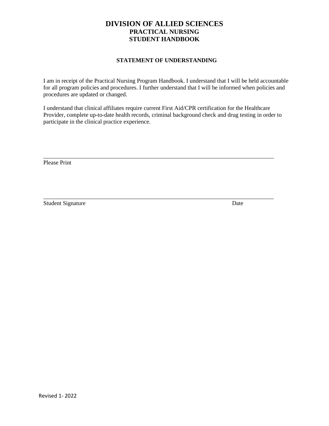### **STATEMENT OF UNDERSTANDING**

I am in receipt of the Practical Nursing Program Handbook. I understand that I will be held accountable for all program policies and procedures. I further understand that I will be informed when policies and procedures are updated or changed.

I understand that clinical affiliates require current First Aid/CPR certification for the Healthcare Provider, complete up-to-date health records, criminal background check and drug testing in order to participate in the clinical practice experience.

\_\_\_\_\_\_\_\_\_\_\_\_\_\_\_\_\_\_\_\_\_\_\_\_\_\_\_\_\_\_\_\_\_\_\_\_\_\_\_\_\_\_\_\_\_\_\_\_\_\_\_\_\_\_\_\_\_\_\_\_\_\_\_\_\_\_\_\_\_\_\_\_\_\_\_\_\_\_

\_\_\_\_\_\_\_\_\_\_\_\_\_\_\_\_\_\_\_\_\_\_\_\_\_\_\_\_\_\_\_\_\_\_\_\_\_\_\_\_\_\_\_\_\_\_\_\_\_\_\_\_\_\_\_\_\_\_\_\_\_\_\_\_\_\_\_\_\_\_\_\_\_\_\_\_\_\_

Please Print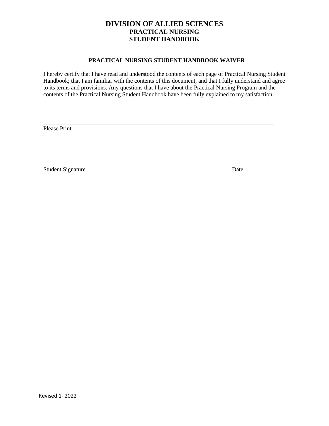### **PRACTICAL NURSING STUDENT HANDBOOK WAIVER**

I hereby certify that I have read and understood the contents of each page of Practical Nursing Student Handbook; that I am familiar with the contents of this document; and that I fully understand and agree to its terms and provisions. Any questions that I have about the Practical Nursing Program and the contents of the Practical Nursing Student Handbook have been fully explained to my satisfaction.

\_\_\_\_\_\_\_\_\_\_\_\_\_\_\_\_\_\_\_\_\_\_\_\_\_\_\_\_\_\_\_\_\_\_\_\_\_\_\_\_\_\_\_\_\_\_\_\_\_\_\_\_\_\_\_\_\_\_\_\_\_\_\_\_\_\_\_\_\_\_\_\_\_\_\_\_\_\_

\_\_\_\_\_\_\_\_\_\_\_\_\_\_\_\_\_\_\_\_\_\_\_\_\_\_\_\_\_\_\_\_\_\_\_\_\_\_\_\_\_\_\_\_\_\_\_\_\_\_\_\_\_\_\_\_\_\_\_\_\_\_\_\_\_\_\_\_\_\_\_\_\_\_\_\_\_\_

Please Print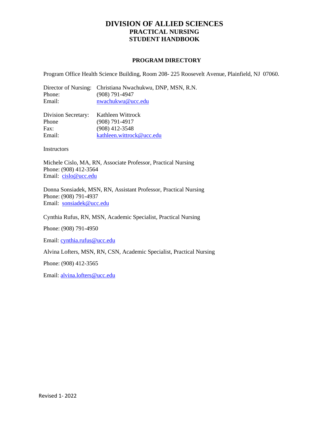#### **PROGRAM DIRECTORY**

Program Office Health Science Building, Room 208- 225 Roosevelt Avenue, Plainfield, NJ 07060.

Director of Nursing: Christiana Nwachukwu, DNP, MSN, R.N. Phone: (908) 791-4947 Email: [nwachukwu@ucc.edu](mailto:nwachukwu@ucc.edu)

| Division Secretary: | Kathleen Wittrock         |
|---------------------|---------------------------|
| Phone               | $(908)$ 791-4917          |
| Fax:                | $(908)$ 412-3548          |
| Email:              | kathleen.wittrock@ucc.edu |

**Instructors** 

Michele Cislo, MA, RN, Associate Professor, Practical Nursing Phone: (908) 412-3564 Email: [cislo@ucc.edu](mailto:cislo@ucc.edu)

Donna Sonsiadek, MSN, RN, Assistant Professor, Practical Nursing Phone: (908) 791-4937 Email: [sonsiadek@ucc.edu](mailto:sonsiadek@ucc.edu)

Cynthia Rufus, RN, MSN, Academic Specialist, Practical Nursing

Phone: (908) 791-4950

Email[: cynthia.rufus@ucc.edu](mailto:cynthia.rufus@ucc.edu)

Alvina Lofters, MSN, RN, CSN, Academic Specialist, Practical Nursing

Phone: (908) 412-3565

Email[: alvina.lofters@ucc.edu](mailto:alvina.lofters@ucc.edu)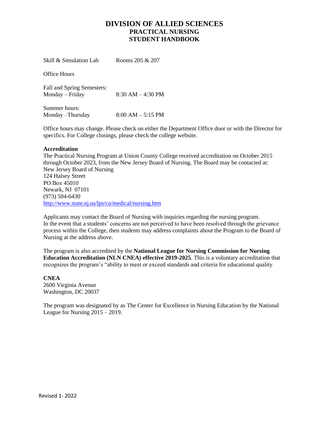Skill & Simulation Lab Rooms 205 & 207 Office Hours Fall and Spring Semesters: Monday – Friday 8:30 AM – 4:30 PM Summer hours: Monday –Thursday 8:00 AM – 5:15 PM

Office hours may change. Please check on either the Department Office door or with the Director for specifics. For College closings, please check the college website.

### **Accreditation**

The Practical Nursing Program at Union County College received accreditation on October 2015 through October 2023, from the New Jersey Board of Nursing. The Board may be contacted at: New Jersey Board of Nursing 124 Halsey Street PO Box 45010 Newark, NJ 07101 (973) 504-6430 <http://www.state.nj.us/lps/ca/medical/nursing.htm>

Applicants may contact the Board of Nursing with inquiries regarding the nursing program. In the event that a students' concerns are not perceived to have been resolved through the grievance process within the College, then students may address complaints about the Program to the Board of Nursing at the address above.

The program is also accredited by the **National League for Nursing Commission for Nursing Education Accreditation (NLN CNEA) effective 2019-2025**. This is a voluntary accreditation that recognizes the program's "ability to meet or exceed standards and criteria for educational quality

**CNEA**  2600 Virginia Avenue Washington, DC 20037

The program was designated by as The Center for Excellence in Nursing Education by the National League for Nursing 2015 – 2019.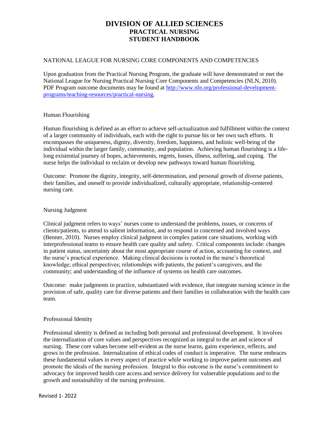#### NATIONAL LEAGUE FOR NURSING CORE COMPONENTS AND COMPETENCIES

Upon graduation from the Practical Nursing Program, the graduate will have demonstrated or met the National League for Nursing Practical Nursing Core Components and Competencies (NLN, 2010). PDF Program outcome documents may be found at [http://www.nln.org/professional-development](http://www.nln.org/professional-development-programs/teaching-resources/practical-nursing)[programs/teaching-resources/practical-nursing.](http://www.nln.org/professional-development-programs/teaching-resources/practical-nursing)

#### Human Flourishing

Human flourishing is defined as an effort to achieve self-actualization and fulfillment within the context of a larger community of individuals, each with the right to pursue his or her own such efforts. It encompasses the uniqueness, dignity, diversity, freedom, happiness, and holistic well-being of the individual within the larger family, community, and population. Achieving human flourishing is a lifelong existential journey of hopes, achievements, regrets, losses, illness, suffering, and coping. The nurse helps the individual to reclaim or develop new pathways toward human flourishing.

Outcome: Promote the dignity, integrity, self-determination, and personal growth of diverse patients, their families, and oneself to provide individualized, culturally appropriate, relationship-centered nursing care.

#### Nursing Judgment

Clinical judgment refers to ways' nurses come to understand the problems, issues, or concerns of clients/patients, to attend to salient information, and to respond in concerned and involved ways (Benner, 2010). Nurses employ clinical judgment in complex patient care situations, working with interprofessional teams to ensure health care quality and safety. Critical components include: changes in patient status, uncertainty about the most appropriate course of action, accounting for context, and the nurse's practical experience. Making clinical decisions is rooted in the nurse's theoretical knowledge; ethical perspectives; relationships with patients, the patient's caregivers, and the community; and understanding of the influence of systems on health care outcomes.

Outcome: make judgments in practice, substantiated with evidence, that integrate nursing science in the provision of safe, quality care for diverse patients and their families in collaboration with the health care team.

### Professional Identity

Professional identity is defined as including both personal and professional development. It involves the internalization of core values and perspectives recognized as integral to the art and science of nursing. These core values become self-evident as the nurse learns, gains experience, reflects, and grows in the profession. Internalization of ethical codes of conduct is imperative. The nurse embraces these fundamental values in every aspect of practice while working to improve patient outcomes and promote the ideals of the nursing profession. Integral to this outcome is the nurse's commitment to advocacy for improved health care access and service delivery for vulnerable populations and to the growth and sustainability of the nursing profession.